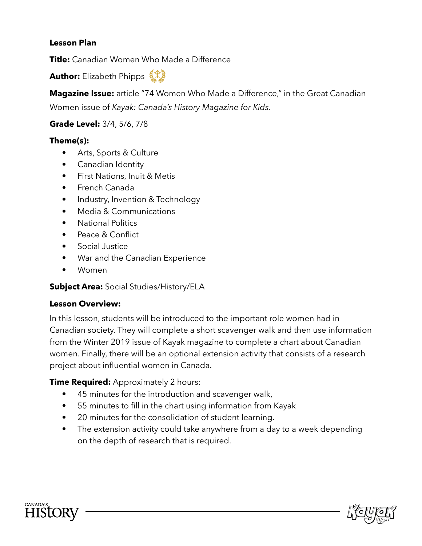#### **Lesson Plan**

**Title:** Canadian Women Who Made a Difference

**Author:** Elizabeth Phipps 《光》

**Magazine Issue:** article "74 Women Who Made a Difference," in the Great Canadian Women issue of *Kayak: Canada's History Magazine for Kids.*

#### **Grade Level:** 3/4, 5/6, 7/8

#### **Theme(s):**

- Arts, Sports & Culture
- Canadian Identity
- First Nations, Inuit & Metis
- French Canada
- Industry, Invention & Technology
- Media & Communications
- National Politics
- Peace & Confict
- Social Justice
- War and the Canadian Experience
- Women

#### **Subject Area:** Social Studies/History/ELA

#### **Lesson Overview:**

In this lesson, students will be introduced to the important role women had in Canadian society. They will complete a short scavenger walk and then use information from the Winter 2019 issue of Kayak magazine to complete a chart about Canadian women. Finally, there will be an optional extension activity that consists of a research project about infuential women in Canada.

#### **Time Required:** Approximately 2 hours:

- 45 minutes for the introduction and scavenger walk,
- 55 minutes to fill in the chart using information from Kayak
- 20 minutes for the consolidation of student learning.
- The extension activity could take anywhere from a day to a week depending on the depth of research that is required.



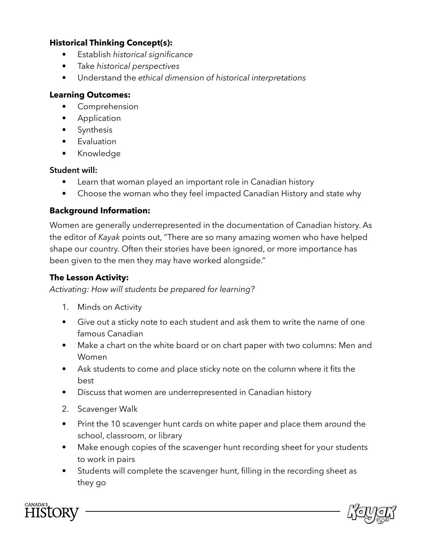#### **Historical Thinking Concept(s):**

- Establish *historical signifcance*
- Take *historical perspectives*
- Understand the *ethical dimension of historical interpretations*

#### **Learning Outcomes:**

- Comprehension
- Application
- Synthesis
- Evaluation
- Knowledge

#### **Student will:**

- Learn that woman played an important role in Canadian history
- Choose the woman who they feel impacted Canadian History and state why

#### **Background Information:**

Women are generally underrepresented in the documentation of Canadian history. As the editor of *Kayak* points out, "There are so many amazing women who have helped shape our country. Often their stories have been ignored, or more importance has been given to the men they may have worked alongside."

#### **The Lesson Activity:**

*Activating: How will students be prepared for learning?*

- 1. Minds on Activity
- Give out a sticky note to each student and ask them to write the name of one famous Canadian
- Make a chart on the white board or on chart paper with two columns: Men and Women
- Ask students to come and place sticky note on the column where it fits the best
- Discuss that women are underrepresented in Canadian history
- 2. Scavenger Walk
- Print the 10 scavenger hunt cards on white paper and place them around the school, classroom, or library
- Make enough copies of the scavenger hunt recording sheet for your students to work in pairs
- Students will complete the scavenger hunt, flling in the recording sheet as they go



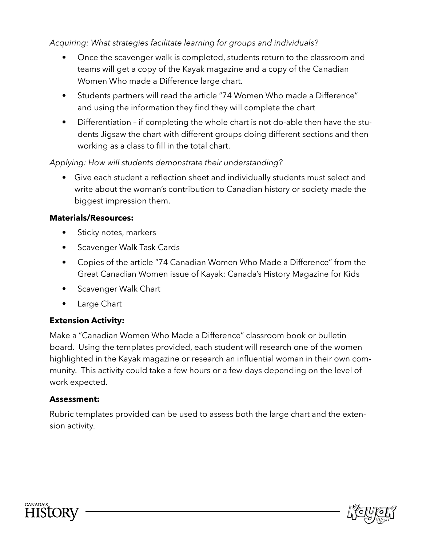*Acquiring: What strategies facilitate learning for groups and individuals?*

- Once the scavenger walk is completed, students return to the classroom and teams will get a copy of the Kayak magazine and a copy of the Canadian Women Who made a Difference large chart.
- Students partners will read the article "74 Women Who made a Difference" and using the information they find they will complete the chart
- Differentiation if completing the whole chart is not do-able then have the students Jigsaw the chart with different groups doing different sections and then working as a class to fill in the total chart.

#### *Applying: How will students demonstrate their understanding?*

• Give each student a reflection sheet and individually students must select and write about the woman's contribution to Canadian history or society made the biggest impression them.

#### **Materials/Resources:**

- Sticky notes, markers
- Scavenger Walk Task Cards
- Copies of the article "74 Canadian Women Who Made a Difference" from the Great Canadian Women issue of Kayak: Canada's History Magazine for Kids
- Scavenger Walk Chart
- Large Chart

#### **Extension Activity:**

Make a "Canadian Women Who Made a Difference" classroom book or bulletin board. Using the templates provided, each student will research one of the women highlighted in the Kayak magazine or research an infuential woman in their own community. This activity could take a few hours or a few days depending on the level of work expected.

#### **Assessment:**

Rubric templates provided can be used to assess both the large chart and the extension activity.



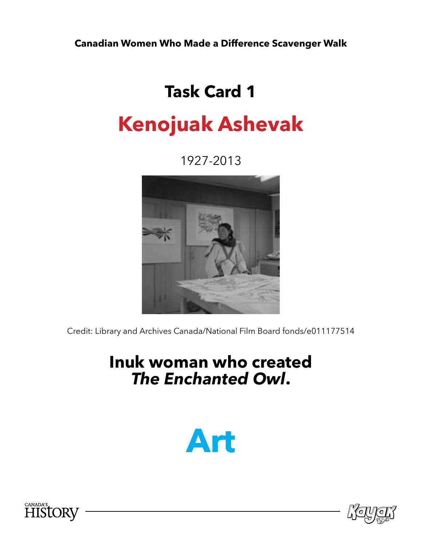## **Task Card 1**

## **Kenojuak Ashevak**

1927-2013



Credit: Library and Archives Canada/National Film Board fonds/e011177514

### **Inuk woman who created**  *The Enchanted Owl***.**





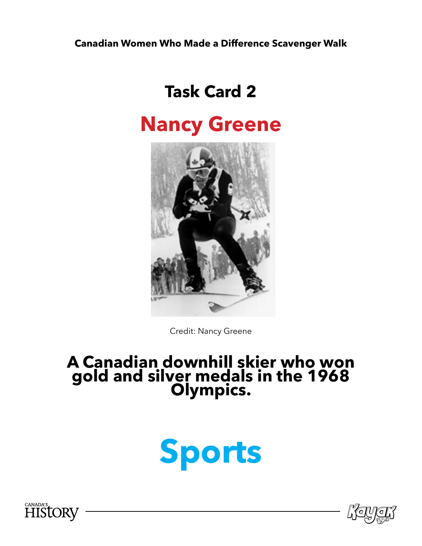## **Task Card 2**

## **Nancy Greene**



Credit: Nancy Greene

## **A Canadian downhill skier who won gold and silver medals in the 1968 Olympics.**





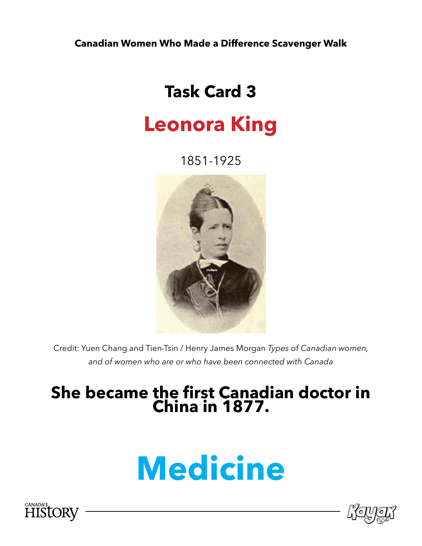## **Task Card 3**

## **Leonora King**

1851-1925



Credit: Yuen Chang and Tien-Tsin / Henry James Morgan *Types of Canadian women, and of women who are or who have been connected with Canada*

#### **She became the frst Canadian doctor in China in 1877.**

# **Medicine**



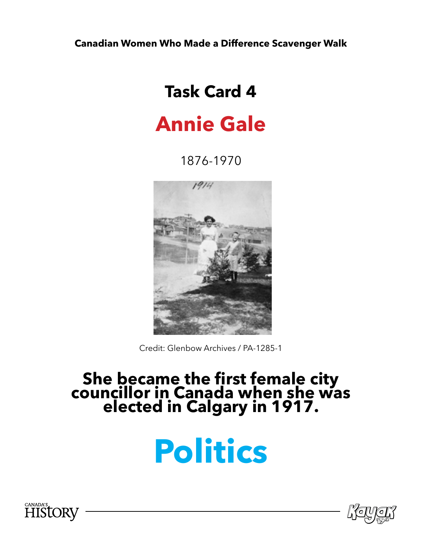## **Task Card 4**

## **Annie Gale**

1876-1970



Credit: Glenbow Archives / PA-1285-1

#### **She became the first female city councillor in Canada when she was elected in Calgary in 1917.**

# **Politics**



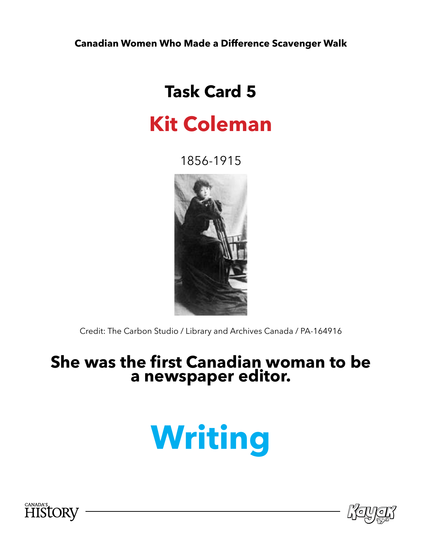## **Task Card 5**

## **Kit Coleman**

1856-1915



Credit: The Carbon Studio / Library and Archives Canada / PA-164916

#### **She was the first Canadian woman to be a newspaper editor.**

# **Writing**



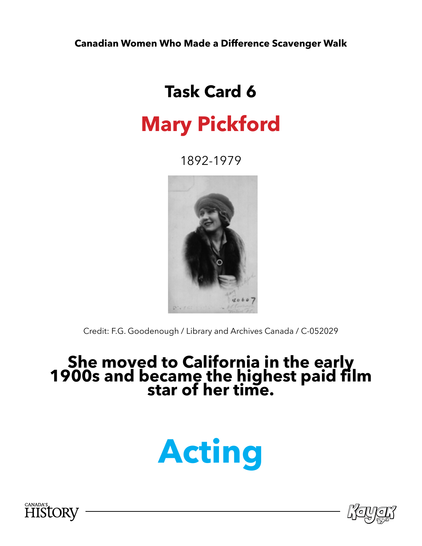## **Task Card 6**

## **Mary Pickford**

1892-1979



Credit: F.G. Goodenough / Library and Archives Canada / C-052029

# **She moved to California in the early 1900s and became the highest paid flm star of her time.**





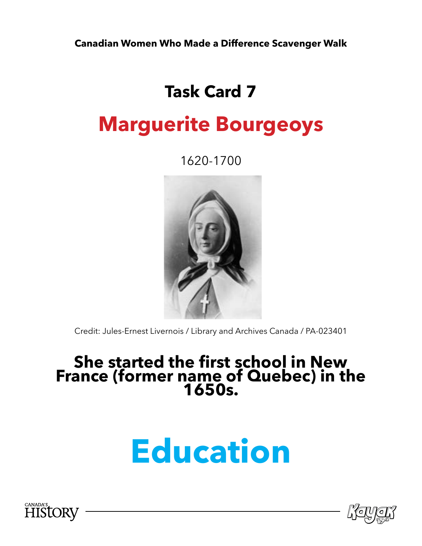## **Task Card 7**

## **Marguerite Bourgeoys**

1620-1700



Credit: Jules-Ernest Livernois / Library and Archives Canada / PA-023401

## **She started the first school in New France (former name of Quebec) in the 1650s.**

# **Education**



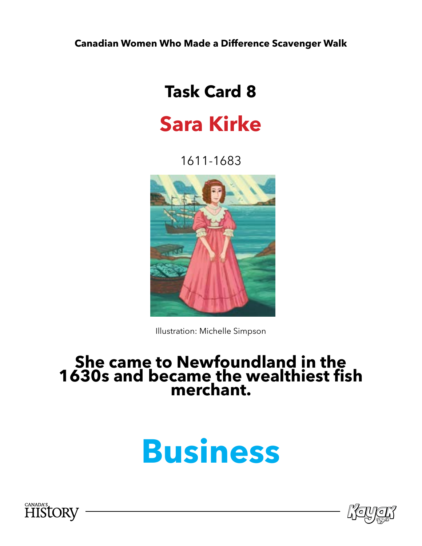## **Task Card 8**

## **Sara Kirke**

1611-1683



Illustration: Michelle Simpson

#### **She came to Newfoundland in the 1630s and became the wealthiest fish merchant.**

# **Business**



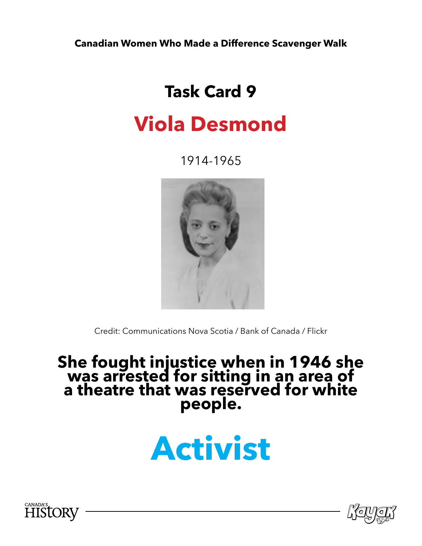## **Task Card 9**

## **Viola Desmond**

1914-1965



Credit: Communications Nova Scotia / Bank of Canada / Flickr

#### **She fought injustice when in 1946 she was arrested for sitting in an area of a theatre that was reserved for white people.**

# **Activist**



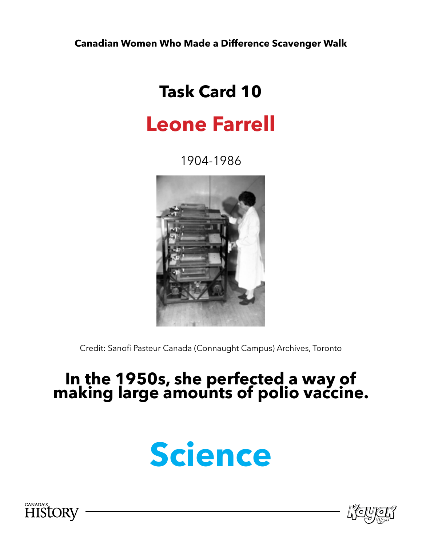## **Task Card 10**

## **Leone Farrell**

1904-1986



Credit: Sanofi Pasteur Canada (Connaught Campus) Archives, Toronto

### **In the 1950s, she perfected a way of making large amounts of polio vaccine.**





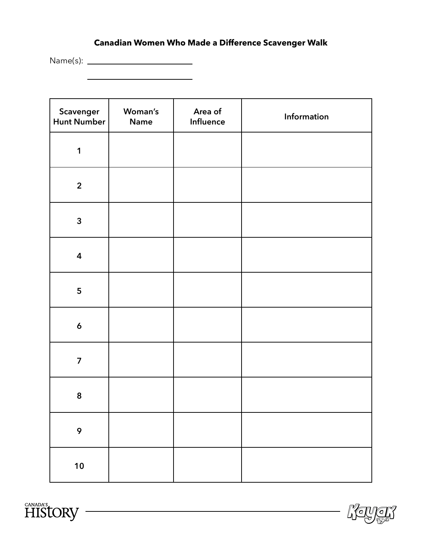Name(s):

| Scavenger<br>Hunt Number | Woman's<br><b>Name</b> | Area of<br>Influence | Information |
|--------------------------|------------------------|----------------------|-------------|
| $\mathbf 1$              |                        |                      |             |
| $\overline{2}$           |                        |                      |             |
| $\mathbf{3}$             |                        |                      |             |
| $\overline{\mathbf{4}}$  |                        |                      |             |
| 5                        |                        |                      |             |
| $\pmb{6}$                |                        |                      |             |
| $\overline{\mathbf{z}}$  |                        |                      |             |
| 8                        |                        |                      |             |
| $\mathbf 9$              |                        |                      |             |
| 10                       |                        |                      |             |

<u> 1989 - Johann Stein, mars an de Brasilia (b. 1989)</u>



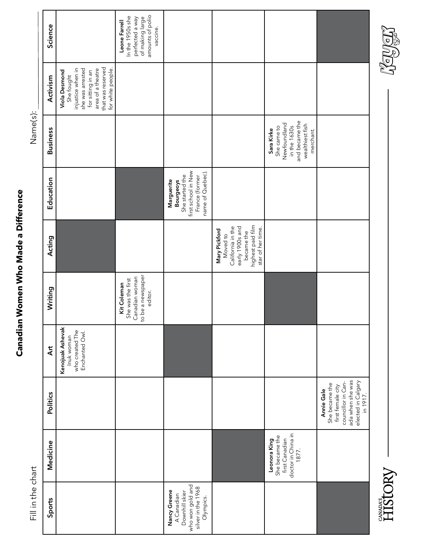|  | Í                       |                |  |
|--|-------------------------|----------------|--|
|  | l<br>֕                  |                |  |
|  | i                       |                |  |
|  | Í<br>1                  | ֚֚֬            |  |
|  |                         |                |  |
|  |                         |                |  |
|  |                         |                |  |
|  |                         |                |  |
|  |                         |                |  |
|  |                         |                |  |
|  |                         |                |  |
|  |                         |                |  |
|  |                         |                |  |
|  |                         |                |  |
|  |                         |                |  |
|  |                         |                |  |
|  |                         |                |  |
|  |                         |                |  |
|  |                         |                |  |
|  |                         |                |  |
|  |                         |                |  |
|  |                         |                |  |
|  |                         |                |  |
|  |                         |                |  |
|  |                         |                |  |
|  |                         |                |  |
|  |                         |                |  |
|  |                         |                |  |
|  |                         |                |  |
|  |                         |                |  |
|  |                         |                |  |
|  |                         |                |  |
|  |                         |                |  |
|  |                         |                |  |
|  |                         |                |  |
|  |                         |                |  |
|  |                         |                |  |
|  |                         |                |  |
|  |                         |                |  |
|  |                         |                |  |
|  |                         |                |  |
|  |                         |                |  |
|  |                         |                |  |
|  |                         |                |  |
|  |                         |                |  |
|  |                         |                |  |
|  |                         |                |  |
|  |                         |                |  |
|  |                         |                |  |
|  |                         |                |  |
|  |                         |                |  |
|  |                         |                |  |
|  |                         |                |  |
|  |                         |                |  |
|  |                         |                |  |
|  | $\frac{1}{3}$           | $\frac{1}{2}$  |  |
|  | $\overline{\mathbf{r}}$ |                |  |
|  |                         |                |  |
|  |                         |                |  |
|  |                         |                |  |
|  |                         | $\frac{1}{11}$ |  |
|  |                         |                |  |
|  |                         |                |  |

# Canadian Women Who Made a Difference **Canadian Women Who Made a Difference**

Name(s):

| Science         |                                                                                                                                                          | amounts of polio<br>In the 1950s she<br>of making large<br>perfected a way<br>Leone Farrell<br>vaccine. |                                                                                                                |                                                                                                                           |                                                                                                             |                                                                                                                               |
|-----------------|----------------------------------------------------------------------------------------------------------------------------------------------------------|---------------------------------------------------------------------------------------------------------|----------------------------------------------------------------------------------------------------------------|---------------------------------------------------------------------------------------------------------------------------|-------------------------------------------------------------------------------------------------------------|-------------------------------------------------------------------------------------------------------------------------------|
| Activism        | that was reserved<br>injustice when in<br>she was arrested<br>area of a theatre<br>for white people.<br>Viola Desmond<br>for sitting in an<br>She fought |                                                                                                         |                                                                                                                |                                                                                                                           |                                                                                                             |                                                                                                                               |
| <b>Business</b> |                                                                                                                                                          |                                                                                                         |                                                                                                                |                                                                                                                           | and became the<br>Newfoundland<br>wealthiest fish<br>in the 1630s<br>She came to<br>Sara Kirke<br>merchant. |                                                                                                                               |
| Education       |                                                                                                                                                          |                                                                                                         | first school in New<br>name of Quebec).<br>She started the<br>France (former<br>Marguerite<br><b>Bourgeoys</b> |                                                                                                                           |                                                                                                             |                                                                                                                               |
| Acting          |                                                                                                                                                          |                                                                                                         |                                                                                                                | highest paid film<br>California in the<br>early 1900s and<br>star of her time.<br>Mary Pickford<br>became the<br>Moved to |                                                                                                             |                                                                                                                               |
| Writing         |                                                                                                                                                          | to be a newspaper<br>Canadian woman<br>She was the first<br>Kit Coleman<br>editor.                      |                                                                                                                |                                                                                                                           |                                                                                                             |                                                                                                                               |
| $\overline{A}$  | Kenojuak Ashevak<br>who created The<br>Enchanted Owl.<br>Inuk woman                                                                                      |                                                                                                         |                                                                                                                |                                                                                                                           |                                                                                                             |                                                                                                                               |
| Politics        |                                                                                                                                                          |                                                                                                         |                                                                                                                |                                                                                                                           |                                                                                                             | ada when she was<br>elected in Calgary<br>councillor in Can-<br>She became the<br>first female city<br>Annie Gale<br>in 1917. |
| Medicine        |                                                                                                                                                          |                                                                                                         |                                                                                                                |                                                                                                                           | doctor in China in<br>She became the<br>first Canadian<br>Leonora King<br>1877.                             |                                                                                                                               |
| Sports          |                                                                                                                                                          |                                                                                                         | who won gold and<br>silver in the 1968<br>Nancy Greene<br>Downhill skier<br>A Canadian<br>Olympics.            |                                                                                                                           |                                                                                                             |                                                                                                                               |



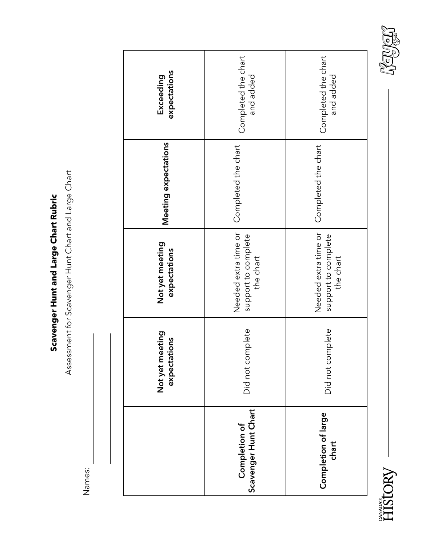Scavenger Hunt and Large Chart Rubric **Scavenger Hunt and Large Chart Rubric**

Assessment for Scavenger Hunt Chart and Large Chart Assessment for Scavenger Hunt Chart and Large Chart

Names:

|                                       | Not yet meeting<br>expectations | Not yet meeting<br>expectations                          | Meeting expectations | expectations<br>Exceeding        |
|---------------------------------------|---------------------------------|----------------------------------------------------------|----------------------|----------------------------------|
| Scavenger Hunt Chart<br>Completion of | Did not complete                | Needed extra time or<br>support to complete<br>the chart | Completed the chart  | Completed the chart<br>and added |
| Completion of large<br>chart          | Did not complete                | Needed extra time or<br>support to complete<br>the chart | Completed the chart  | Completed the chart<br>and added |



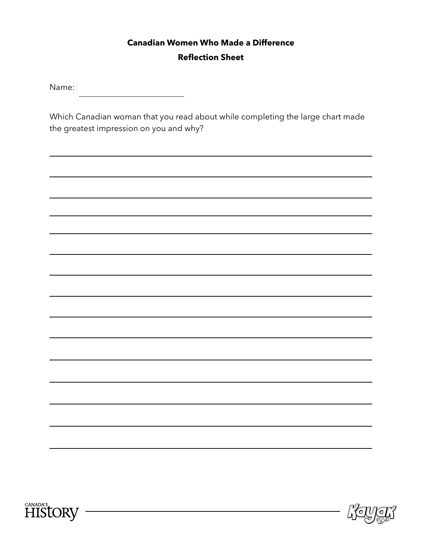#### **Canadian Women Who Made a Difference Reflection Sheet**

Name: <u> 1990 - Johann Barbara, martin a</u>

Which Canadian woman that you read about while completing the large chart made the greatest impression on you and why?



<u> 1989 - Johann Barn, mars ann an t-Amhain Aonaich an t-Aonaich an t-Aonaich an t-Aonaich an t-Aonaich an t-Aon</u>



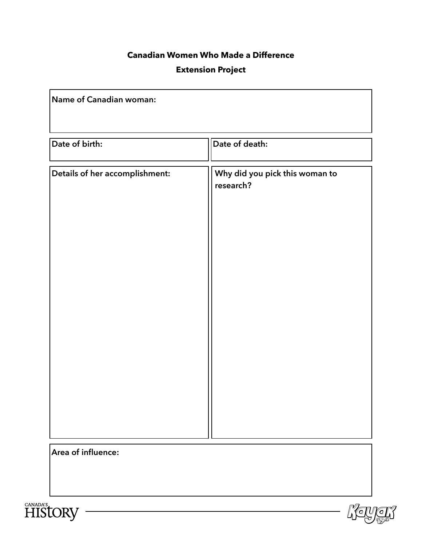#### **Canadian Women Who Made a Difference**

#### **Extension Project**

| Name of Canadian woman:        |                                             |
|--------------------------------|---------------------------------------------|
| Date of birth:                 | Date of death:                              |
| Details of her accomplishment: | Why did you pick this woman to<br>research? |
| Area of influence:             |                                             |